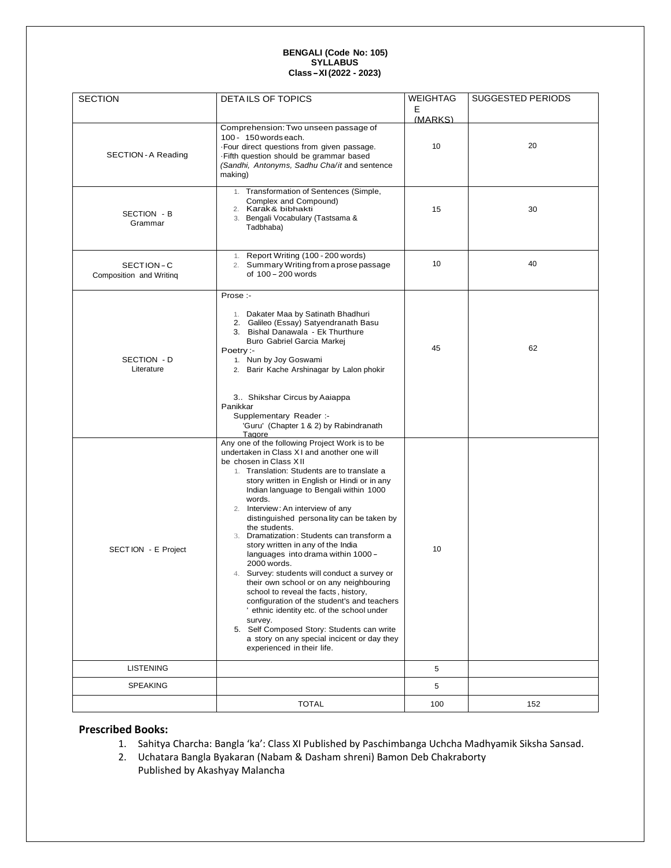# **BENGALI (Code No: 105) SYLLABUS Class-XI(202<sup>2</sup> - <sup>202</sup>3)**

| <b>SECTION</b>                       | DETAILS OF TOPICS                                                                                                                                                                                                                                                                                                                                                                                                                                                                                                                                                                                                                                                                                                                                                                                                                                                                                                                              | WEIGHTAG     | SUGGESTED PERIODS |
|--------------------------------------|------------------------------------------------------------------------------------------------------------------------------------------------------------------------------------------------------------------------------------------------------------------------------------------------------------------------------------------------------------------------------------------------------------------------------------------------------------------------------------------------------------------------------------------------------------------------------------------------------------------------------------------------------------------------------------------------------------------------------------------------------------------------------------------------------------------------------------------------------------------------------------------------------------------------------------------------|--------------|-------------------|
|                                      |                                                                                                                                                                                                                                                                                                                                                                                                                                                                                                                                                                                                                                                                                                                                                                                                                                                                                                                                                | Е<br>(MARKS) |                   |
| SECTION - A Reading                  | Comprehension: Two unseen passage of<br>100 - 150 words each.<br>. Four direct questions from given passage.<br>Fifth question should be grammar based<br>(Sandhi, Antonyms, Sadhu Cha/it and sentence<br>making)                                                                                                                                                                                                                                                                                                                                                                                                                                                                                                                                                                                                                                                                                                                              | 10           | 20                |
| SECTION - B<br>Grammar               | 1. Transformation of Sentences (Simple,<br>Complex and Compound)<br>2. Karak& bibhakti<br>3. Bengali Vocabulary (Tastsama &<br>Tadbhaba)                                                                                                                                                                                                                                                                                                                                                                                                                                                                                                                                                                                                                                                                                                                                                                                                       | 15           | 30                |
| SECTION-C<br>Composition and Writing | 1. Report Writing (100 - 200 words)<br>2. Summary Writing from a prose passage<br>of 100 - 200 words                                                                                                                                                                                                                                                                                                                                                                                                                                                                                                                                                                                                                                                                                                                                                                                                                                           | 10           | 40                |
| SECTION - D<br>Literature            | Prose:-<br>1. Dakater Maa by Satinath Bhadhuri<br>2. Galileo (Essay) Satyendranath Basu<br>3. Bishal Danawala - Ek Thurthure<br>Buro Gabriel Garcia Markej<br>Poetry:-<br>1. Nun by Joy Goswami<br>2. Barir Kache Arshinagar by Lalon phokir<br>3. Shikshar Circus by Aaiappa<br>Panikkar<br>Supplementary Reader :-                                                                                                                                                                                                                                                                                                                                                                                                                                                                                                                                                                                                                           | 45           | 62                |
| SECTION - E Project                  | 'Guru' (Chapter 1 & 2) by Rabindranath<br>Tagore<br>Any one of the following Project Work is to be<br>undertaken in Class XI and another one will<br>be chosen in Class XII<br>1. Translation: Students are to translate a<br>story written in English or Hindi or in any<br>Indian language to Bengali within 1000<br>words.<br>2. Interview: An interview of any<br>distinguished personality can be taken by<br>the students.<br>3. Dramatization: Students can transform a<br>story written in any of the India<br>languages into drama within 1000 -<br>2000 words.<br>4. Survey: students will conduct a survey or<br>their own school or on any neighbouring<br>school to reveal the facts, history,<br>configuration of the student's and teachers<br>' ethnic identity etc. of the school under<br>survey.<br>5. Self Composed Story: Students can write<br>a story on any special incicent or day they<br>experienced in their life. | 10           |                   |
| <b>LISTENING</b>                     |                                                                                                                                                                                                                                                                                                                                                                                                                                                                                                                                                                                                                                                                                                                                                                                                                                                                                                                                                | 5            |                   |
| <b>SPEAKING</b>                      |                                                                                                                                                                                                                                                                                                                                                                                                                                                                                                                                                                                                                                                                                                                                                                                                                                                                                                                                                | 5            |                   |
|                                      | <b>TOTAL</b>                                                                                                                                                                                                                                                                                                                                                                                                                                                                                                                                                                                                                                                                                                                                                                                                                                                                                                                                   | 100          | 152               |

#### **Prescribed Books:**

- 1. Sahitya Charcha: Bangla 'ka': Class XI Published by Paschimbanga Uchcha Madhyamik Siksha Sansad.
- 2. Uchatara Bangla Byakaran (Nabam & Dasham shreni) Bamon Deb Chakraborty Published by Akashyay Malancha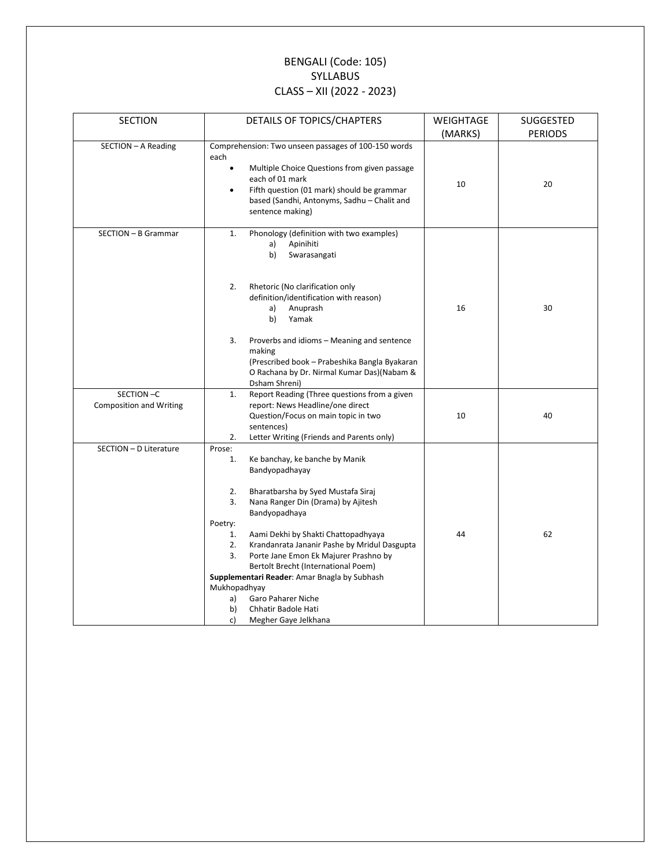### BENGALI (Code: 105) SYLLABUS CLASS – XII (2022 - 2023)

| <b>SECTION</b>                              | DETAILS OF TOPICS/CHAPTERS                                                                                                                                                                                                                                                                                                                                                                                                                                                                                                           | WEIGHTAGE | SUGGESTED      |
|---------------------------------------------|--------------------------------------------------------------------------------------------------------------------------------------------------------------------------------------------------------------------------------------------------------------------------------------------------------------------------------------------------------------------------------------------------------------------------------------------------------------------------------------------------------------------------------------|-----------|----------------|
|                                             |                                                                                                                                                                                                                                                                                                                                                                                                                                                                                                                                      | (MARKS)   | <b>PERIODS</b> |
| SECTION - A Reading                         | Comprehension: Two unseen passages of 100-150 words<br>each<br>Multiple Choice Questions from given passage<br>$\bullet$<br>each of 01 mark<br>Fifth question (01 mark) should be grammar<br>٠<br>based (Sandhi, Antonyms, Sadhu - Chalit and<br>sentence making)                                                                                                                                                                                                                                                                    | 10        | 20             |
| SECTION - B Grammar                         | Phonology (definition with two examples)<br>1.<br>Apinihiti<br>a)<br>b)<br>Swarasangati<br>Rhetoric (No clarification only<br>2.<br>definition/identification with reason)<br>a)<br>Anuprash<br>b)<br>Yamak<br>Proverbs and idioms - Meaning and sentence<br>3.<br>making<br>(Prescribed book - Prabeshika Bangla Byakaran<br>O Rachana by Dr. Nirmal Kumar Das)(Nabam &<br>Dsham Shreni)                                                                                                                                            | 16        | 30             |
| SECTION-C<br><b>Composition and Writing</b> | Report Reading (Three questions from a given<br>1.<br>report: News Headline/one direct<br>Question/Focus on main topic in two<br>sentences)<br>2.<br>Letter Writing (Friends and Parents only)                                                                                                                                                                                                                                                                                                                                       | 10        | 40             |
| SECTION - D Literature                      | Prose:<br>1.<br>Ke banchay, ke banche by Manik<br>Bandyopadhayay<br>2.<br>Bharatbarsha by Syed Mustafa Siraj<br>3.<br>Nana Ranger Din (Drama) by Ajitesh<br>Bandyopadhaya<br>Poetry:<br>Aami Dekhi by Shakti Chattopadhyaya<br>1.<br>Krandanrata Jananir Pashe by Mridul Dasgupta<br>2.<br>Porte Jane Emon Ek Majurer Prashno by<br>3.<br>Bertolt Brecht (International Poem)<br>Supplementari Reader: Amar Bnagla by Subhash<br>Mukhopadhyay<br>Garo Paharer Niche<br>a)<br>b)<br>Chhatir Badole Hati<br>c)<br>Megher Gaye Jelkhana | 44        | 62             |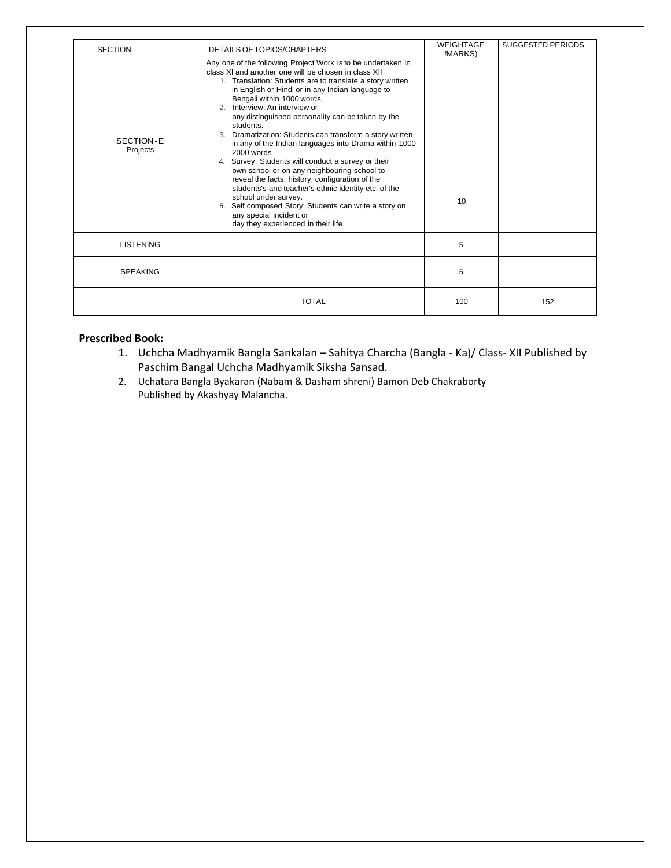| <b>SECTION</b>        | DETAILS OF TOPICS/CHAPTERS                                                                                                                                                                                                                                                                                                                                                                                                                                                                                                                                                                                                                                                                                                                                                                                                                                                 | <b>WEIGHTAGE</b><br><b>MARKS</b> ) | <b>SUGGESTED PERIODS</b> |
|-----------------------|----------------------------------------------------------------------------------------------------------------------------------------------------------------------------------------------------------------------------------------------------------------------------------------------------------------------------------------------------------------------------------------------------------------------------------------------------------------------------------------------------------------------------------------------------------------------------------------------------------------------------------------------------------------------------------------------------------------------------------------------------------------------------------------------------------------------------------------------------------------------------|------------------------------------|--------------------------|
| SECTION-E<br>Projects | Any one of the following Project Work is to be undertaken in<br>class XI and another one will be chosen in class XII<br>1. Translation: Students are to translate a story written<br>in English or Hindi or in any Indian language to<br>Bengali within 1000 words.<br>2. Interview: An interview or<br>any distinguished personality can be taken by the<br>students.<br>Dramatization: Students can transform a story written<br>in any of the Indian languages into Drama within 1000-<br>2000 words<br>4. Survey: Students will conduct a survey or their<br>own school or on any neighbouring school to<br>reveal the facts, history, configuration of the<br>students's and teacher's ethnic identity etc. of the<br>school under survey.<br>5. Self composed Story: Students can write a story on<br>any special incident or<br>day they experienced in their life. | 10 <sup>1</sup>                    |                          |
| <b>LISTENING</b>      |                                                                                                                                                                                                                                                                                                                                                                                                                                                                                                                                                                                                                                                                                                                                                                                                                                                                            | 5                                  |                          |
| <b>SPEAKING</b>       |                                                                                                                                                                                                                                                                                                                                                                                                                                                                                                                                                                                                                                                                                                                                                                                                                                                                            | 5                                  |                          |
|                       | <b>TOTAL</b>                                                                                                                                                                                                                                                                                                                                                                                                                                                                                                                                                                                                                                                                                                                                                                                                                                                               | 100                                | 152                      |

#### **Prescribed Book:**

- 1. Uchcha Madhyamik Bangla Sankalan Sahitya Charcha (Bangla Ka)/ Class- XII Published by Paschim Bangal Uchcha Madhyamik Siksha Sansad.
- 2. Uchatara Bangla Byakaran (Nabam & Dasham shreni) Bamon Deb Chakraborty Published by Akashyay Malancha.